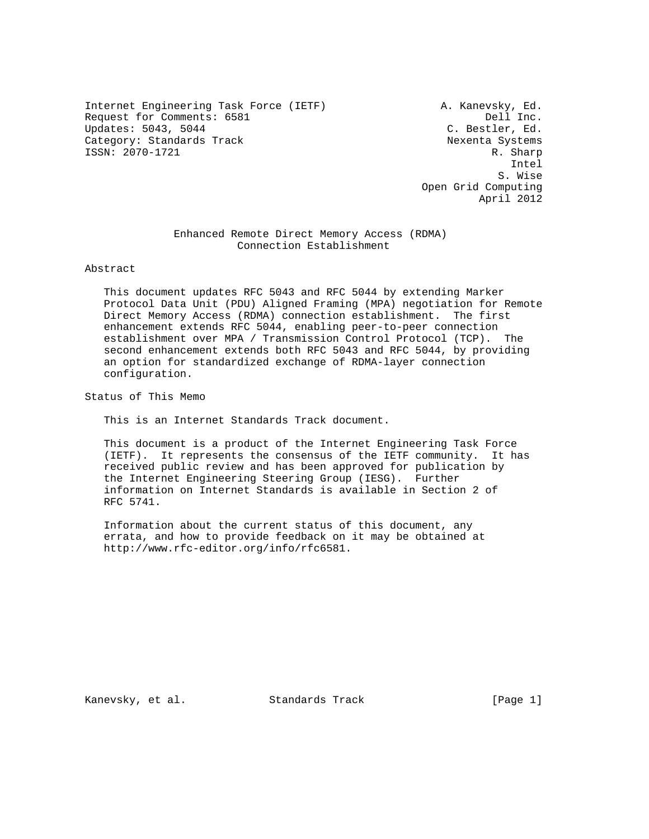Internet Engineering Task Force (IETF) A. Kanevsky, Ed. Request for Comments: 6581 Dell Inc. Updates: 5043, 5044 C. Bestler, Ed. Category: Standards Track Nexenta Systems ISSN: 2070-1721 R. Sharp

 Intel S. Wise Open Grid Computing April 2012

> Enhanced Remote Direct Memory Access (RDMA) Connection Establishment

Abstract

 This document updates RFC 5043 and RFC 5044 by extending Marker Protocol Data Unit (PDU) Aligned Framing (MPA) negotiation for Remote Direct Memory Access (RDMA) connection establishment. The first enhancement extends RFC 5044, enabling peer-to-peer connection establishment over MPA / Transmission Control Protocol (TCP). The second enhancement extends both RFC 5043 and RFC 5044, by providing an option for standardized exchange of RDMA-layer connection configuration.

Status of This Memo

This is an Internet Standards Track document.

 This document is a product of the Internet Engineering Task Force (IETF). It represents the consensus of the IETF community. It has received public review and has been approved for publication by the Internet Engineering Steering Group (IESG). Further information on Internet Standards is available in Section 2 of RFC 5741.

 Information about the current status of this document, any errata, and how to provide feedback on it may be obtained at http://www.rfc-editor.org/info/rfc6581.

Kanevsky, et al. Standards Track [Page 1]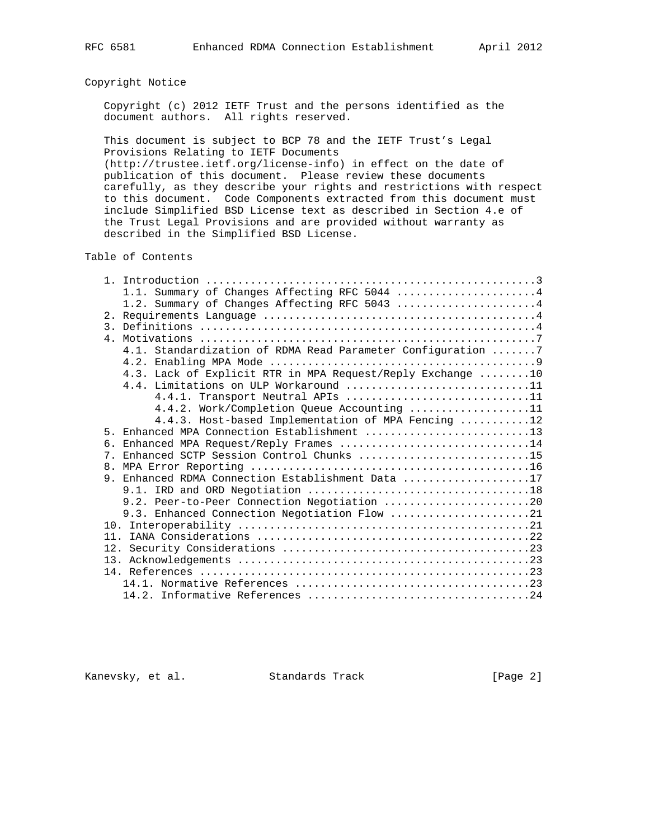## Copyright Notice

 Copyright (c) 2012 IETF Trust and the persons identified as the document authors. All rights reserved.

 This document is subject to BCP 78 and the IETF Trust's Legal Provisions Relating to IETF Documents

 (http://trustee.ietf.org/license-info) in effect on the date of publication of this document. Please review these documents carefully, as they describe your rights and restrictions with respect to this document. Code Components extracted from this document must include Simplified BSD License text as described in Section 4.e of the Trust Legal Provisions and are provided without warranty as described in the Simplified BSD License.

Table of Contents

|    | 1.1. Summary of Changes Affecting RFC 5044  4               |
|----|-------------------------------------------------------------|
|    | 1.2. Summary of Changes Affecting RFC 5043 4                |
|    |                                                             |
|    |                                                             |
|    |                                                             |
|    | 4.1. Standardization of RDMA Read Parameter Configuration 7 |
|    |                                                             |
|    | 4.3. Lack of Explicit RTR in MPA Request/Reply Exchange 10  |
|    | 4.4. Limitations on ULP Workaround 11                       |
|    | 4.4.1. Transport Neutral APIs 11                            |
|    | 4.4.2. Work/Completion Queue Accounting 11                  |
|    | 4.4.3. Host-based Implementation of MPA Fencing 12          |
|    | 5. Enhanced MPA Connection Establishment 13                 |
| б. | Enhanced MPA Request/Reply Frames 14                        |
|    | 7. Enhanced SCTP Session Control Chunks 15                  |
|    |                                                             |
|    | 9. Enhanced RDMA Connection Establishment Data 17           |
|    |                                                             |
|    | 9.2. Peer-to-Peer Connection Negotiation 20                 |
|    | 9.3. Enhanced Connection Negotiation Flow 21                |
|    |                                                             |
|    |                                                             |
|    |                                                             |
|    |                                                             |
|    |                                                             |
|    |                                                             |
|    |                                                             |

Kanevsky, et al. Standards Track [Page 2]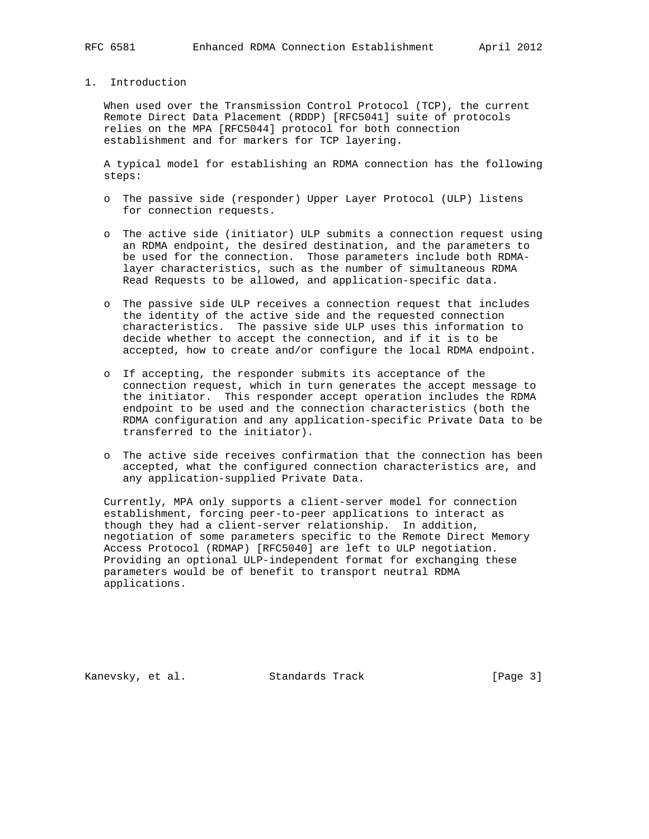## 1. Introduction

 When used over the Transmission Control Protocol (TCP), the current Remote Direct Data Placement (RDDP) [RFC5041] suite of protocols relies on the MPA [RFC5044] protocol for both connection establishment and for markers for TCP layering.

 A typical model for establishing an RDMA connection has the following steps:

- o The passive side (responder) Upper Layer Protocol (ULP) listens for connection requests.
- o The active side (initiator) ULP submits a connection request using an RDMA endpoint, the desired destination, and the parameters to be used for the connection. Those parameters include both RDMA layer characteristics, such as the number of simultaneous RDMA Read Requests to be allowed, and application-specific data.
- o The passive side ULP receives a connection request that includes the identity of the active side and the requested connection characteristics. The passive side ULP uses this information to decide whether to accept the connection, and if it is to be accepted, how to create and/or configure the local RDMA endpoint.
- o If accepting, the responder submits its acceptance of the connection request, which in turn generates the accept message to the initiator. This responder accept operation includes the RDMA endpoint to be used and the connection characteristics (both the RDMA configuration and any application-specific Private Data to be transferred to the initiator).
- o The active side receives confirmation that the connection has been accepted, what the configured connection characteristics are, and any application-supplied Private Data.

 Currently, MPA only supports a client-server model for connection establishment, forcing peer-to-peer applications to interact as though they had a client-server relationship. In addition, negotiation of some parameters specific to the Remote Direct Memory Access Protocol (RDMAP) [RFC5040] are left to ULP negotiation. Providing an optional ULP-independent format for exchanging these parameters would be of benefit to transport neutral RDMA applications.

Kanevsky, et al. Standards Track [Page 3]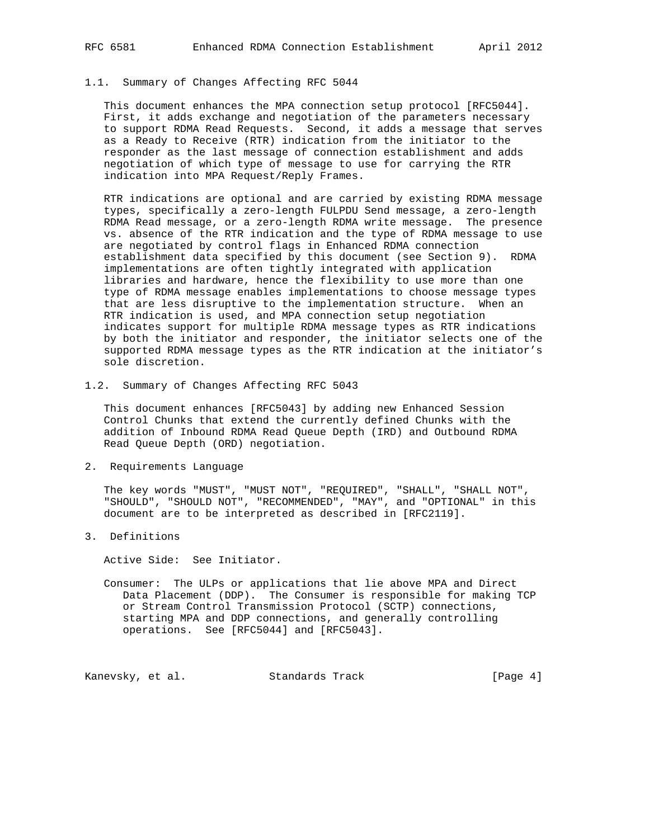## 1.1. Summary of Changes Affecting RFC 5044

 This document enhances the MPA connection setup protocol [RFC5044]. First, it adds exchange and negotiation of the parameters necessary to support RDMA Read Requests. Second, it adds a message that serves as a Ready to Receive (RTR) indication from the initiator to the responder as the last message of connection establishment and adds negotiation of which type of message to use for carrying the RTR indication into MPA Request/Reply Frames.

 RTR indications are optional and are carried by existing RDMA message types, specifically a zero-length FULPDU Send message, a zero-length RDMA Read message, or a zero-length RDMA write message. The presence vs. absence of the RTR indication and the type of RDMA message to use are negotiated by control flags in Enhanced RDMA connection establishment data specified by this document (see Section 9). RDMA implementations are often tightly integrated with application libraries and hardware, hence the flexibility to use more than one type of RDMA message enables implementations to choose message types that are less disruptive to the implementation structure. When an RTR indication is used, and MPA connection setup negotiation indicates support for multiple RDMA message types as RTR indications by both the initiator and responder, the initiator selects one of the supported RDMA message types as the RTR indication at the initiator's sole discretion.

1.2. Summary of Changes Affecting RFC 5043

 This document enhances [RFC5043] by adding new Enhanced Session Control Chunks that extend the currently defined Chunks with the addition of Inbound RDMA Read Queue Depth (IRD) and Outbound RDMA Read Queue Depth (ORD) negotiation.

2. Requirements Language

 The key words "MUST", "MUST NOT", "REQUIRED", "SHALL", "SHALL NOT", "SHOULD", "SHOULD NOT", "RECOMMENDED", "MAY", and "OPTIONAL" in this document are to be interpreted as described in [RFC2119].

3. Definitions

Active Side: See Initiator.

 Consumer: The ULPs or applications that lie above MPA and Direct Data Placement (DDP). The Consumer is responsible for making TCP or Stream Control Transmission Protocol (SCTP) connections, starting MPA and DDP connections, and generally controlling operations. See [RFC5044] and [RFC5043].

Kanevsky, et al. Standards Track [Page 4]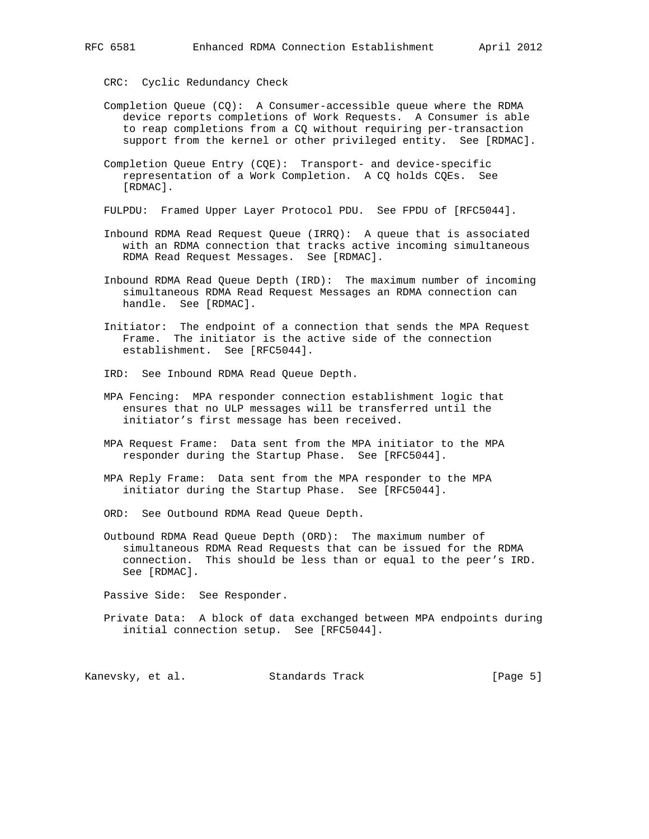CRC: Cyclic Redundancy Check

- Completion Queue (CQ): A Consumer-accessible queue where the RDMA device reports completions of Work Requests. A Consumer is able to reap completions from a CQ without requiring per-transaction support from the kernel or other privileged entity. See [RDMAC].
- Completion Queue Entry (CQE): Transport- and device-specific representation of a Work Completion. A CQ holds CQEs. See [RDMAC].
- FULPDU: Framed Upper Layer Protocol PDU. See FPDU of [RFC5044].
- Inbound RDMA Read Request Queue (IRRQ): A queue that is associated with an RDMA connection that tracks active incoming simultaneous RDMA Read Request Messages. See [RDMAC].
- Inbound RDMA Read Queue Depth (IRD): The maximum number of incoming simultaneous RDMA Read Request Messages an RDMA connection can handle. See [RDMAC].
- Initiator: The endpoint of a connection that sends the MPA Request Frame. The initiator is the active side of the connection establishment. See [RFC5044].
- IRD: See Inbound RDMA Read Queue Depth.
- MPA Fencing: MPA responder connection establishment logic that ensures that no ULP messages will be transferred until the initiator's first message has been received.
- MPA Request Frame: Data sent from the MPA initiator to the MPA responder during the Startup Phase. See [RFC5044].
- MPA Reply Frame: Data sent from the MPA responder to the MPA initiator during the Startup Phase. See [RFC5044].
- ORD: See Outbound RDMA Read Queue Depth.
- Outbound RDMA Read Queue Depth (ORD): The maximum number of simultaneous RDMA Read Requests that can be issued for the RDMA connection. This should be less than or equal to the peer's IRD. See [RDMAC].

Passive Side: See Responder.

 Private Data: A block of data exchanged between MPA endpoints during initial connection setup. See [RFC5044].

Kanevsky, et al. Standards Track [Page 5]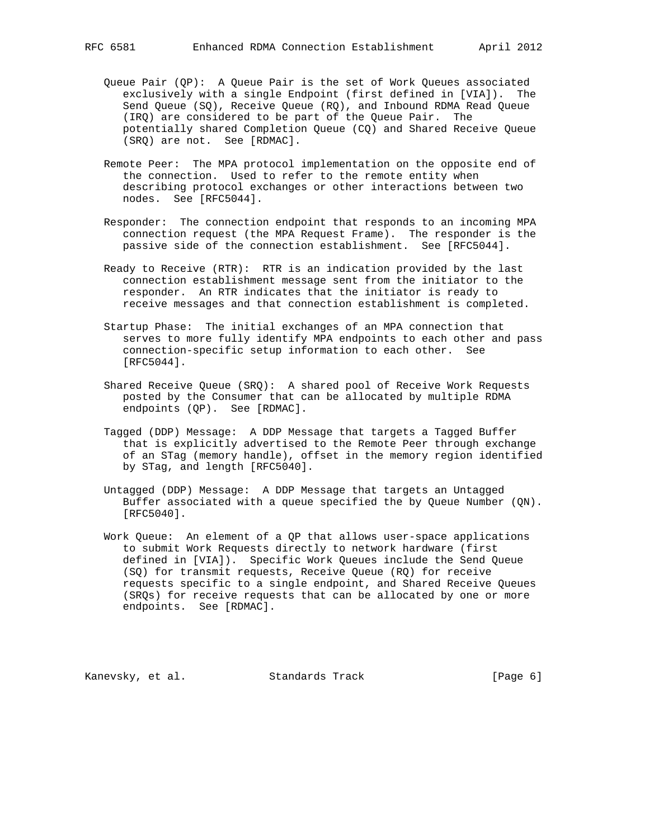- Queue Pair (QP): A Queue Pair is the set of Work Queues associated exclusively with a single Endpoint (first defined in [VIA]). The Send Queue (SQ), Receive Queue (RQ), and Inbound RDMA Read Queue (IRQ) are considered to be part of the Queue Pair. The potentially shared Completion Queue (CQ) and Shared Receive Queue (SRQ) are not. See [RDMAC].
- Remote Peer: The MPA protocol implementation on the opposite end of the connection. Used to refer to the remote entity when describing protocol exchanges or other interactions between two nodes. See [RFC5044].
- Responder: The connection endpoint that responds to an incoming MPA connection request (the MPA Request Frame). The responder is the passive side of the connection establishment. See [RFC5044].
- Ready to Receive (RTR): RTR is an indication provided by the last connection establishment message sent from the initiator to the responder. An RTR indicates that the initiator is ready to receive messages and that connection establishment is completed.
- Startup Phase: The initial exchanges of an MPA connection that serves to more fully identify MPA endpoints to each other and pass connection-specific setup information to each other. See [RFC5044].
- Shared Receive Queue (SRQ): A shared pool of Receive Work Requests posted by the Consumer that can be allocated by multiple RDMA endpoints (QP). See [RDMAC].
- Tagged (DDP) Message: A DDP Message that targets a Tagged Buffer that is explicitly advertised to the Remote Peer through exchange of an STag (memory handle), offset in the memory region identified by STag, and length [RFC5040].
- Untagged (DDP) Message: A DDP Message that targets an Untagged Buffer associated with a queue specified the by Queue Number (QN). [RFC5040].
- Work Queue: An element of a QP that allows user-space applications to submit Work Requests directly to network hardware (first defined in [VIA]). Specific Work Queues include the Send Queue (SQ) for transmit requests, Receive Queue (RQ) for receive requests specific to a single endpoint, and Shared Receive Queues (SRQs) for receive requests that can be allocated by one or more endpoints. See [RDMAC].

Kanevsky, et al. Standards Track [Page 6]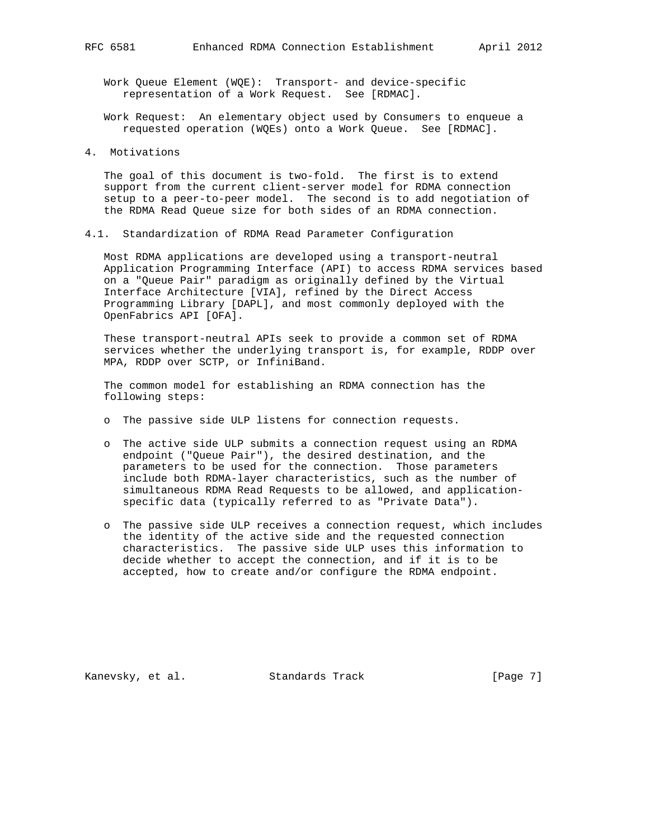Work Queue Element (WQE): Transport- and device-specific representation of a Work Request. See [RDMAC].

 Work Request: An elementary object used by Consumers to enqueue a requested operation (WQEs) onto a Work Queue. See [RDMAC].

4. Motivations

 The goal of this document is two-fold. The first is to extend support from the current client-server model for RDMA connection setup to a peer-to-peer model. The second is to add negotiation of the RDMA Read Queue size for both sides of an RDMA connection.

4.1. Standardization of RDMA Read Parameter Configuration

 Most RDMA applications are developed using a transport-neutral Application Programming Interface (API) to access RDMA services based on a "Queue Pair" paradigm as originally defined by the Virtual Interface Architecture [VIA], refined by the Direct Access Programming Library [DAPL], and most commonly deployed with the OpenFabrics API [OFA].

 These transport-neutral APIs seek to provide a common set of RDMA services whether the underlying transport is, for example, RDDP over MPA, RDDP over SCTP, or InfiniBand.

 The common model for establishing an RDMA connection has the following steps:

- o The passive side ULP listens for connection requests.
- o The active side ULP submits a connection request using an RDMA endpoint ("Queue Pair"), the desired destination, and the parameters to be used for the connection. Those parameters include both RDMA-layer characteristics, such as the number of simultaneous RDMA Read Requests to be allowed, and application specific data (typically referred to as "Private Data").
- o The passive side ULP receives a connection request, which includes the identity of the active side and the requested connection characteristics. The passive side ULP uses this information to decide whether to accept the connection, and if it is to be accepted, how to create and/or configure the RDMA endpoint.

Kanevsky, et al. Standards Track [Page 7]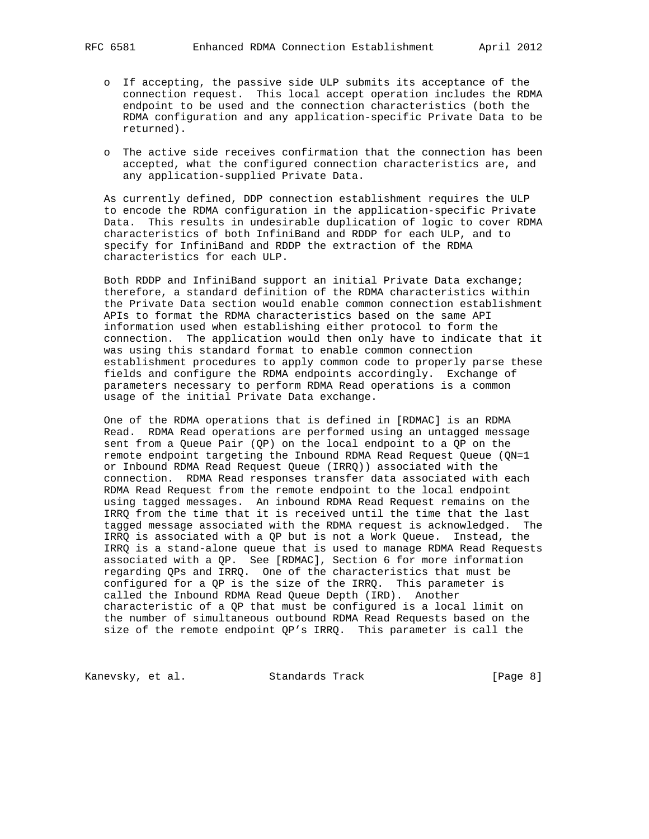- o If accepting, the passive side ULP submits its acceptance of the connection request. This local accept operation includes the RDMA endpoint to be used and the connection characteristics (both the RDMA configuration and any application-specific Private Data to be returned).
- o The active side receives confirmation that the connection has been accepted, what the configured connection characteristics are, and any application-supplied Private Data.

 As currently defined, DDP connection establishment requires the ULP to encode the RDMA configuration in the application-specific Private Data. This results in undesirable duplication of logic to cover RDMA characteristics of both InfiniBand and RDDP for each ULP, and to specify for InfiniBand and RDDP the extraction of the RDMA characteristics for each ULP.

 Both RDDP and InfiniBand support an initial Private Data exchange; therefore, a standard definition of the RDMA characteristics within the Private Data section would enable common connection establishment APIs to format the RDMA characteristics based on the same API information used when establishing either protocol to form the connection. The application would then only have to indicate that it was using this standard format to enable common connection establishment procedures to apply common code to properly parse these fields and configure the RDMA endpoints accordingly. Exchange of parameters necessary to perform RDMA Read operations is a common usage of the initial Private Data exchange.

 One of the RDMA operations that is defined in [RDMAC] is an RDMA Read. RDMA Read operations are performed using an untagged message sent from a Queue Pair (QP) on the local endpoint to a QP on the remote endpoint targeting the Inbound RDMA Read Request Queue (QN=1 or Inbound RDMA Read Request Queue (IRRQ)) associated with the connection. RDMA Read responses transfer data associated with each RDMA Read Request from the remote endpoint to the local endpoint using tagged messages. An inbound RDMA Read Request remains on the IRRQ from the time that it is received until the time that the last tagged message associated with the RDMA request is acknowledged. The IRRQ is associated with a QP but is not a Work Queue. Instead, the IRRQ is a stand-alone queue that is used to manage RDMA Read Requests associated with a QP. See [RDMAC], Section 6 for more information regarding QPs and IRRQ. One of the characteristics that must be configured for a QP is the size of the IRRQ. This parameter is called the Inbound RDMA Read Queue Depth (IRD). Another characteristic of a QP that must be configured is a local limit on the number of simultaneous outbound RDMA Read Requests based on the size of the remote endpoint QP's IRRQ. This parameter is call the

Kanevsky, et al. Standards Track [Page 8]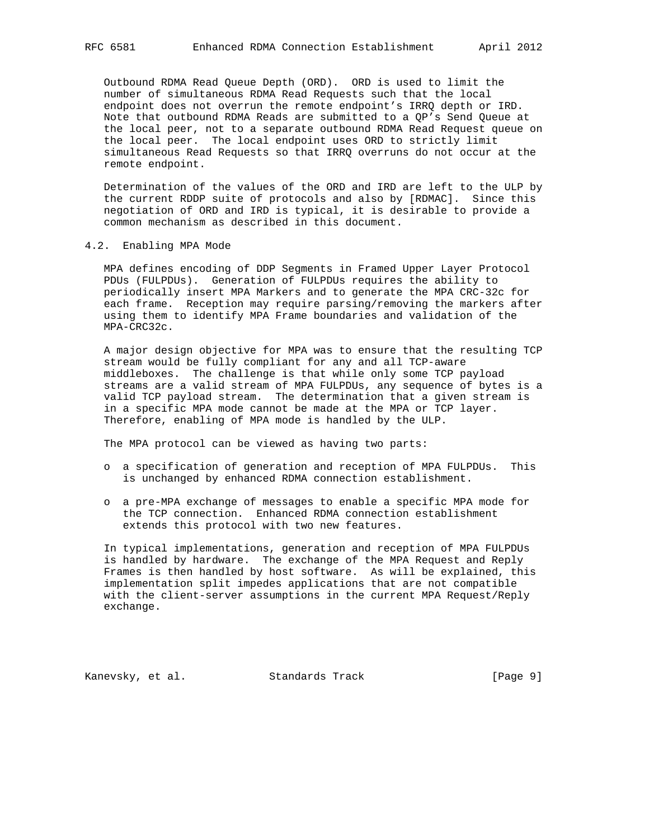Outbound RDMA Read Queue Depth (ORD). ORD is used to limit the number of simultaneous RDMA Read Requests such that the local endpoint does not overrun the remote endpoint's IRRQ depth or IRD. Note that outbound RDMA Reads are submitted to a QP's Send Queue at the local peer, not to a separate outbound RDMA Read Request queue on the local peer. The local endpoint uses ORD to strictly limit simultaneous Read Requests so that IRRQ overruns do not occur at the remote endpoint.

 Determination of the values of the ORD and IRD are left to the ULP by the current RDDP suite of protocols and also by [RDMAC]. Since this negotiation of ORD and IRD is typical, it is desirable to provide a common mechanism as described in this document.

### 4.2. Enabling MPA Mode

 MPA defines encoding of DDP Segments in Framed Upper Layer Protocol PDUs (FULPDUs). Generation of FULPDUs requires the ability to periodically insert MPA Markers and to generate the MPA CRC-32c for each frame. Reception may require parsing/removing the markers after using them to identify MPA Frame boundaries and validation of the MPA-CRC32c.

 A major design objective for MPA was to ensure that the resulting TCP stream would be fully compliant for any and all TCP-aware middleboxes. The challenge is that while only some TCP payload streams are a valid stream of MPA FULPDUs, any sequence of bytes is a valid TCP payload stream. The determination that a given stream is in a specific MPA mode cannot be made at the MPA or TCP layer. Therefore, enabling of MPA mode is handled by the ULP.

The MPA protocol can be viewed as having two parts:

- o a specification of generation and reception of MPA FULPDUs. This is unchanged by enhanced RDMA connection establishment.
- o a pre-MPA exchange of messages to enable a specific MPA mode for the TCP connection. Enhanced RDMA connection establishment extends this protocol with two new features.

 In typical implementations, generation and reception of MPA FULPDUs is handled by hardware. The exchange of the MPA Request and Reply Frames is then handled by host software. As will be explained, this implementation split impedes applications that are not compatible with the client-server assumptions in the current MPA Request/Reply exchange.

Kanevsky, et al. Standards Track [Page 9]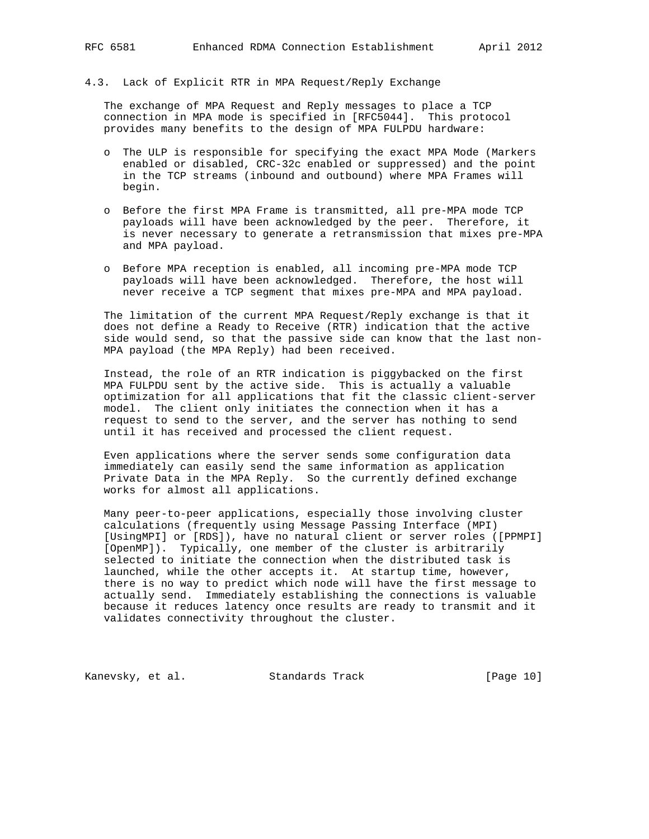# 4.3. Lack of Explicit RTR in MPA Request/Reply Exchange

 The exchange of MPA Request and Reply messages to place a TCP connection in MPA mode is specified in [RFC5044]. This protocol provides many benefits to the design of MPA FULPDU hardware:

- o The ULP is responsible for specifying the exact MPA Mode (Markers enabled or disabled, CRC-32c enabled or suppressed) and the point in the TCP streams (inbound and outbound) where MPA Frames will begin.
- o Before the first MPA Frame is transmitted, all pre-MPA mode TCP payloads will have been acknowledged by the peer. Therefore, it is never necessary to generate a retransmission that mixes pre-MPA and MPA payload.
- o Before MPA reception is enabled, all incoming pre-MPA mode TCP payloads will have been acknowledged. Therefore, the host will never receive a TCP segment that mixes pre-MPA and MPA payload.

 The limitation of the current MPA Request/Reply exchange is that it does not define a Ready to Receive (RTR) indication that the active side would send, so that the passive side can know that the last non- MPA payload (the MPA Reply) had been received.

 Instead, the role of an RTR indication is piggybacked on the first MPA FULPDU sent by the active side. This is actually a valuable optimization for all applications that fit the classic client-server model. The client only initiates the connection when it has a request to send to the server, and the server has nothing to send until it has received and processed the client request.

 Even applications where the server sends some configuration data immediately can easily send the same information as application Private Data in the MPA Reply. So the currently defined exchange works for almost all applications.

 Many peer-to-peer applications, especially those involving cluster calculations (frequently using Message Passing Interface (MPI) [UsingMPI] or [RDS]), have no natural client or server roles ([PPMPI] [OpenMP]). Typically, one member of the cluster is arbitrarily selected to initiate the connection when the distributed task is launched, while the other accepts it. At startup time, however, there is no way to predict which node will have the first message to actually send. Immediately establishing the connections is valuable because it reduces latency once results are ready to transmit and it validates connectivity throughout the cluster.

Kanevsky, et al. Standards Track [Page 10]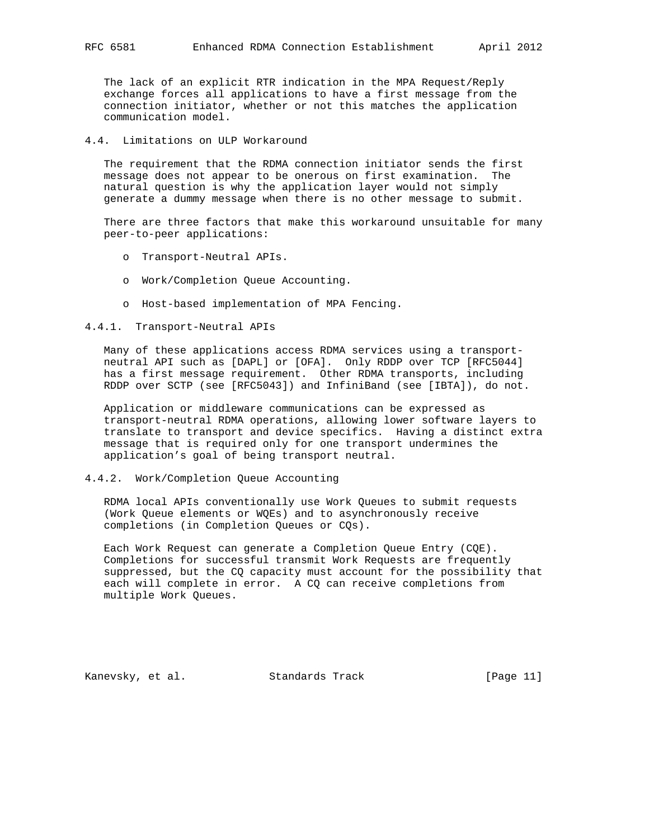The lack of an explicit RTR indication in the MPA Request/Reply exchange forces all applications to have a first message from the connection initiator, whether or not this matches the application communication model.

## 4.4. Limitations on ULP Workaround

 The requirement that the RDMA connection initiator sends the first message does not appear to be onerous on first examination. The natural question is why the application layer would not simply generate a dummy message when there is no other message to submit.

 There are three factors that make this workaround unsuitable for many peer-to-peer applications:

- o Transport-Neutral APIs.
- o Work/Completion Queue Accounting.
- o Host-based implementation of MPA Fencing.

4.4.1. Transport-Neutral APIs

 Many of these applications access RDMA services using a transport neutral API such as [DAPL] or [OFA]. Only RDDP over TCP [RFC5044] has a first message requirement. Other RDMA transports, including RDDP over SCTP (see [RFC5043]) and InfiniBand (see [IBTA]), do not.

 Application or middleware communications can be expressed as transport-neutral RDMA operations, allowing lower software layers to translate to transport and device specifics. Having a distinct extra message that is required only for one transport undermines the application's goal of being transport neutral.

#### 4.4.2. Work/Completion Queue Accounting

 RDMA local APIs conventionally use Work Queues to submit requests (Work Queue elements or WQEs) and to asynchronously receive completions (in Completion Queues or CQs).

 Each Work Request can generate a Completion Queue Entry (CQE). Completions for successful transmit Work Requests are frequently suppressed, but the CQ capacity must account for the possibility that each will complete in error. A CQ can receive completions from multiple Work Queues.

Kanevsky, et al. Standards Track [Page 11]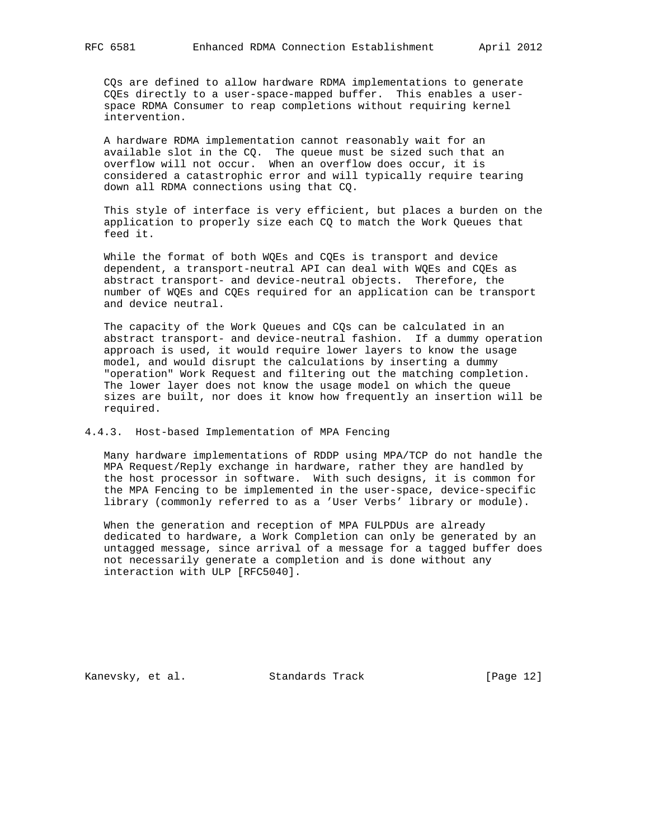CQs are defined to allow hardware RDMA implementations to generate CQEs directly to a user-space-mapped buffer. This enables a user space RDMA Consumer to reap completions without requiring kernel intervention.

 A hardware RDMA implementation cannot reasonably wait for an available slot in the CQ. The queue must be sized such that an overflow will not occur. When an overflow does occur, it is considered a catastrophic error and will typically require tearing down all RDMA connections using that CQ.

 This style of interface is very efficient, but places a burden on the application to properly size each CQ to match the Work Queues that feed it.

 While the format of both WQEs and CQEs is transport and device dependent, a transport-neutral API can deal with WQEs and CQEs as abstract transport- and device-neutral objects. Therefore, the number of WQEs and CQEs required for an application can be transport and device neutral.

 The capacity of the Work Queues and CQs can be calculated in an abstract transport- and device-neutral fashion. If a dummy operation approach is used, it would require lower layers to know the usage model, and would disrupt the calculations by inserting a dummy "operation" Work Request and filtering out the matching completion. The lower layer does not know the usage model on which the queue sizes are built, nor does it know how frequently an insertion will be required.

## 4.4.3. Host-based Implementation of MPA Fencing

 Many hardware implementations of RDDP using MPA/TCP do not handle the MPA Request/Reply exchange in hardware, rather they are handled by the host processor in software. With such designs, it is common for the MPA Fencing to be implemented in the user-space, device-specific library (commonly referred to as a 'User Verbs' library or module).

 When the generation and reception of MPA FULPDUs are already dedicated to hardware, a Work Completion can only be generated by an untagged message, since arrival of a message for a tagged buffer does not necessarily generate a completion and is done without any interaction with ULP [RFC5040].

Kanevsky, et al. Standards Track [Page 12]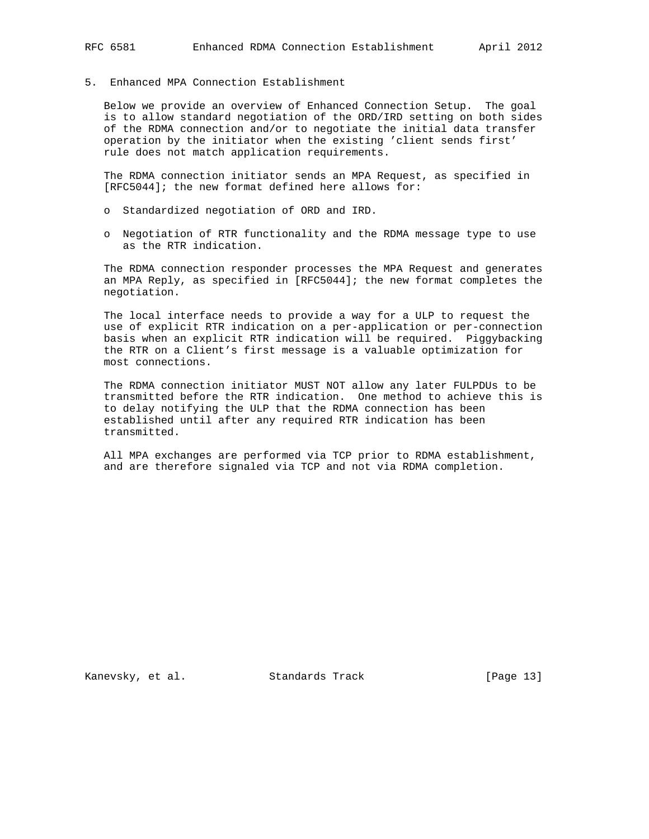5. Enhanced MPA Connection Establishment

 Below we provide an overview of Enhanced Connection Setup. The goal is to allow standard negotiation of the ORD/IRD setting on both sides of the RDMA connection and/or to negotiate the initial data transfer operation by the initiator when the existing 'client sends first' rule does not match application requirements.

 The RDMA connection initiator sends an MPA Request, as specified in [RFC5044]; the new format defined here allows for:

- o Standardized negotiation of ORD and IRD.
- o Negotiation of RTR functionality and the RDMA message type to use as the RTR indication.

 The RDMA connection responder processes the MPA Request and generates an MPA Reply, as specified in [RFC5044]; the new format completes the negotiation.

 The local interface needs to provide a way for a ULP to request the use of explicit RTR indication on a per-application or per-connection basis when an explicit RTR indication will be required. Piggybacking the RTR on a Client's first message is a valuable optimization for most connections.

 The RDMA connection initiator MUST NOT allow any later FULPDUs to be transmitted before the RTR indication. One method to achieve this is to delay notifying the ULP that the RDMA connection has been established until after any required RTR indication has been transmitted.

 All MPA exchanges are performed via TCP prior to RDMA establishment, and are therefore signaled via TCP and not via RDMA completion.

Kanevsky, et al. Standards Track [Page 13]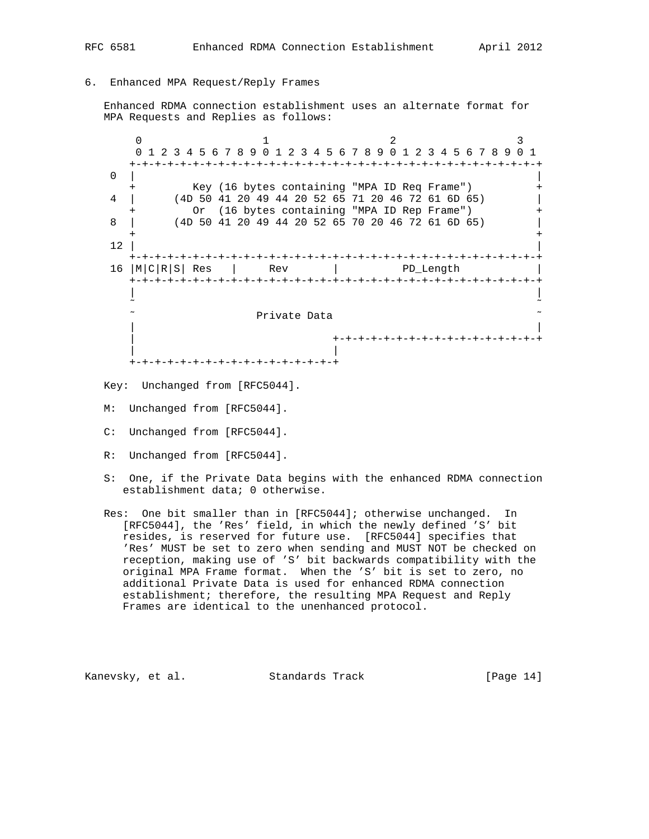# 6. Enhanced MPA Request/Reply Frames

 Enhanced RDMA connection establishment uses an alternate format for MPA Requests and Replies as follows:

 $0$  1 2 3 0 1 2 3 4 5 6 7 8 9 0 1 2 3 4 5 6 7 8 9 0 1 2 3 4 5 6 7 8 9 0 1 +-+-+-+-+-+-+-+-+-+-+-+-+-+-+-+-+-+-+-+-+-+-+-+-+-+-+-+-+-+-+-+-+ 0 | | + Key (16 bytes containing "MPA ID Req Frame") + 4 | (4D 50 41 20 49 44 20 52 65 71 20 46 72 61 6D 65) | + Or (16 bytes containing "MPA ID Rep Frame") + 8 | (4D 50 41 20 49 44 20 52 65 70 20 46 72 61 6D 65) | + +  $\overline{12}$  | +-+-+-+-+-+-+-+-+-+-+-+-+-+-+-+-+-+-+-+-+-+-+-+-+-+-+-+-+-+-+-+-+ 16 |M|C|R|S| Res | Rev | PD\_Length +-+-+-+-+-+-+-+-+-+-+-+-+-+-+-+-+-+-+-+-+-+-+-+-+-+-+-+-+-+-+-+-+ | | ˜ ˜ ˜ Private Data ˜ | | | +-+-+-+-+-+-+-+-+-+-+-+-+-+-+-+-+ | | +-+-+-+-+-+-+-+-+-+-+-+-+-+-+-+-+

Key: Unchanged from [RFC5044].

- M: Unchanged from [RFC5044].
- C: Unchanged from [RFC5044].
- R: Unchanged from [RFC5044].
- S: One, if the Private Data begins with the enhanced RDMA connection establishment data; 0 otherwise.
- Res: One bit smaller than in [RFC5044]; otherwise unchanged. In [RFC5044], the 'Res' field, in which the newly defined 'S' bit resides, is reserved for future use. [RFC5044] specifies that 'Res' MUST be set to zero when sending and MUST NOT be checked on reception, making use of 'S' bit backwards compatibility with the original MPA Frame format. When the 'S' bit is set to zero, no additional Private Data is used for enhanced RDMA connection establishment; therefore, the resulting MPA Request and Reply Frames are identical to the unenhanced protocol.

Kanevsky, et al. Standards Track [Page 14]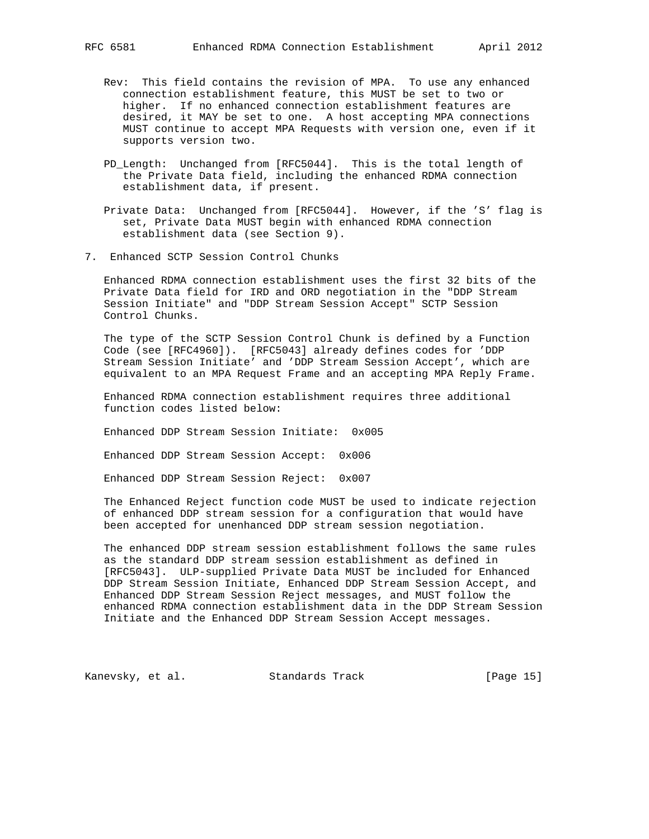- Rev: This field contains the revision of MPA. To use any enhanced connection establishment feature, this MUST be set to two or higher. If no enhanced connection establishment features are desired, it MAY be set to one. A host accepting MPA connections MUST continue to accept MPA Requests with version one, even if it supports version two.
	- PD\_Length: Unchanged from [RFC5044]. This is the total length of the Private Data field, including the enhanced RDMA connection establishment data, if present.
	- Private Data: Unchanged from [RFC5044]. However, if the 'S' flag is set, Private Data MUST begin with enhanced RDMA connection establishment data (see Section 9).
- 7. Enhanced SCTP Session Control Chunks

 Enhanced RDMA connection establishment uses the first 32 bits of the Private Data field for IRD and ORD negotiation in the "DDP Stream Session Initiate" and "DDP Stream Session Accept" SCTP Session Control Chunks.

 The type of the SCTP Session Control Chunk is defined by a Function Code (see [RFC4960]). [RFC5043] already defines codes for 'DDP Stream Session Initiate' and 'DDP Stream Session Accept', which are equivalent to an MPA Request Frame and an accepting MPA Reply Frame.

 Enhanced RDMA connection establishment requires three additional function codes listed below:

Enhanced DDP Stream Session Initiate: 0x005

Enhanced DDP Stream Session Accept: 0x006

Enhanced DDP Stream Session Reject: 0x007

 The Enhanced Reject function code MUST be used to indicate rejection of enhanced DDP stream session for a configuration that would have been accepted for unenhanced DDP stream session negotiation.

 The enhanced DDP stream session establishment follows the same rules as the standard DDP stream session establishment as defined in [RFC5043]. ULP-supplied Private Data MUST be included for Enhanced DDP Stream Session Initiate, Enhanced DDP Stream Session Accept, and Enhanced DDP Stream Session Reject messages, and MUST follow the enhanced RDMA connection establishment data in the DDP Stream Session Initiate and the Enhanced DDP Stream Session Accept messages.

Kanevsky, et al. Standards Track [Page 15]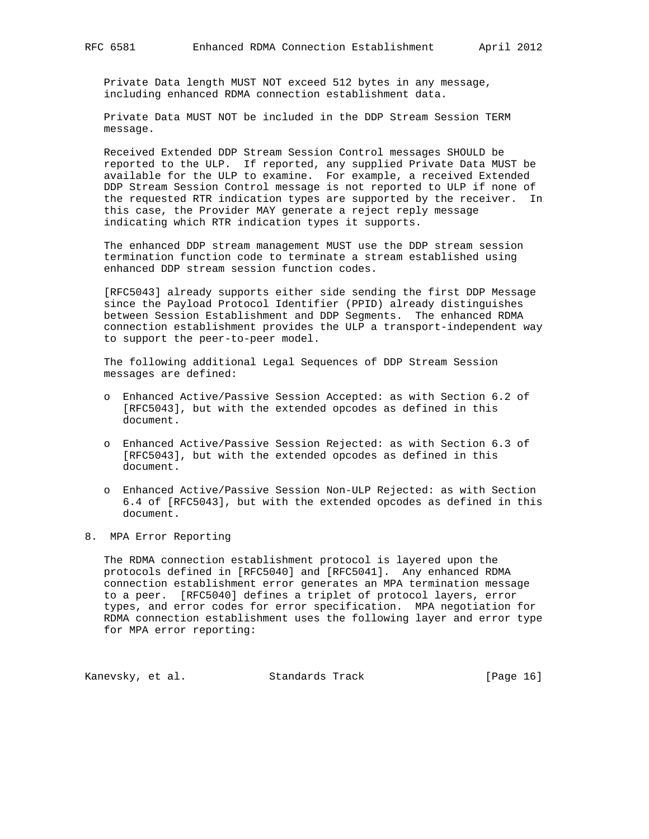Private Data length MUST NOT exceed 512 bytes in any message, including enhanced RDMA connection establishment data.

 Private Data MUST NOT be included in the DDP Stream Session TERM message.

 Received Extended DDP Stream Session Control messages SHOULD be reported to the ULP. If reported, any supplied Private Data MUST be available for the ULP to examine. For example, a received Extended DDP Stream Session Control message is not reported to ULP if none of the requested RTR indication types are supported by the receiver. In this case, the Provider MAY generate a reject reply message indicating which RTR indication types it supports.

 The enhanced DDP stream management MUST use the DDP stream session termination function code to terminate a stream established using enhanced DDP stream session function codes.

 [RFC5043] already supports either side sending the first DDP Message since the Payload Protocol Identifier (PPID) already distinguishes between Session Establishment and DDP Segments. The enhanced RDMA connection establishment provides the ULP a transport-independent way to support the peer-to-peer model.

 The following additional Legal Sequences of DDP Stream Session messages are defined:

- o Enhanced Active/Passive Session Accepted: as with Section 6.2 of [RFC5043], but with the extended opcodes as defined in this document.
- o Enhanced Active/Passive Session Rejected: as with Section 6.3 of [RFC5043], but with the extended opcodes as defined in this document.
- o Enhanced Active/Passive Session Non-ULP Rejected: as with Section 6.4 of [RFC5043], but with the extended opcodes as defined in this document.
- 8. MPA Error Reporting

 The RDMA connection establishment protocol is layered upon the protocols defined in [RFC5040] and [RFC5041]. Any enhanced RDMA connection establishment error generates an MPA termination message to a peer. [RFC5040] defines a triplet of protocol layers, error types, and error codes for error specification. MPA negotiation for RDMA connection establishment uses the following layer and error type for MPA error reporting:

Kanevsky, et al. Standards Track [Page 16]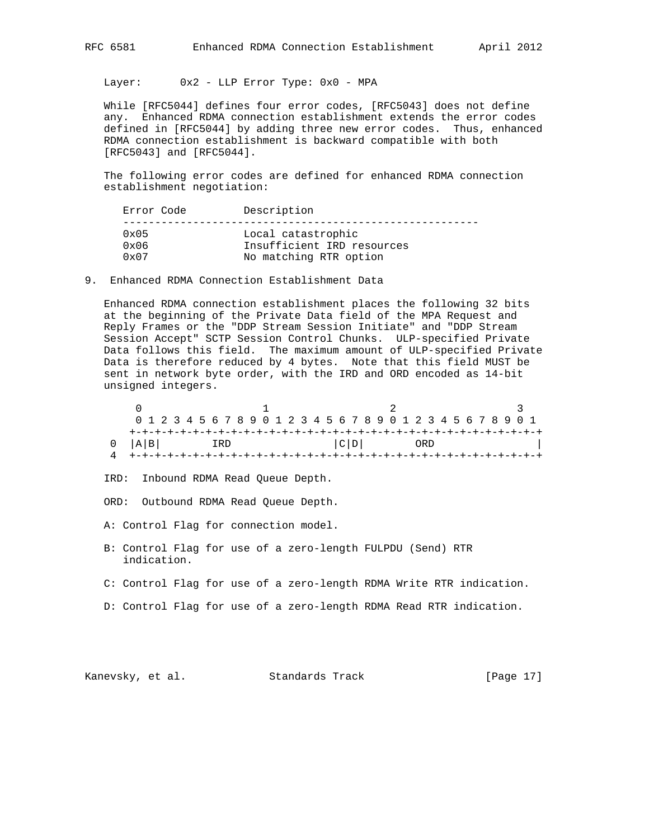Layer: 0x2 - LLP Error Type: 0x0 - MPA

 While [RFC5044] defines four error codes, [RFC5043] does not define any. Enhanced RDMA connection establishment extends the error codes defined in [RFC5044] by adding three new error codes. Thus, enhanced RDMA connection establishment is backward compatible with both [RFC5043] and [RFC5044].

 The following error codes are defined for enhanced RDMA connection establishment negotiation:

| Error Code    | Description                |
|---------------|----------------------------|
| $0 \times 05$ | Local catastrophic         |
| $0 \times 06$ | Insufficient IRD resources |
| $0 \times 07$ | No matching RTR option     |

9. Enhanced RDMA Connection Establishment Data

 Enhanced RDMA connection establishment places the following 32 bits at the beginning of the Private Data field of the MPA Request and Reply Frames or the "DDP Stream Session Initiate" and "DDP Stream Session Accept" SCTP Session Control Chunks. ULP-specified Private Data follows this field. The maximum amount of ULP-specified Private Data is therefore reduced by 4 bytes. Note that this field MUST be sent in network byte order, with the IRD and ORD encoded as 14-bit unsigned integers.

|             |     | 0 1 2 3 4 5 6 7 8 9 0 1 2 3 4 5 6 7 8 9 0 1 2 3 4 5 6 7 8 9 0 1 |  |
|-------------|-----|-----------------------------------------------------------------|--|
|             |     |                                                                 |  |
| $0$ $ A B $ | IRD | C D <br>ORD                                                     |  |
|             |     |                                                                 |  |

IRD: Inbound RDMA Read Queue Depth.

ORD: Outbound RDMA Read Queue Depth.

- A: Control Flag for connection model.
- B: Control Flag for use of a zero-length FULPDU (Send) RTR indication.
- C: Control Flag for use of a zero-length RDMA Write RTR indication.
- D: Control Flag for use of a zero-length RDMA Read RTR indication.

Kanevsky, et al. Standards Track [Page 17]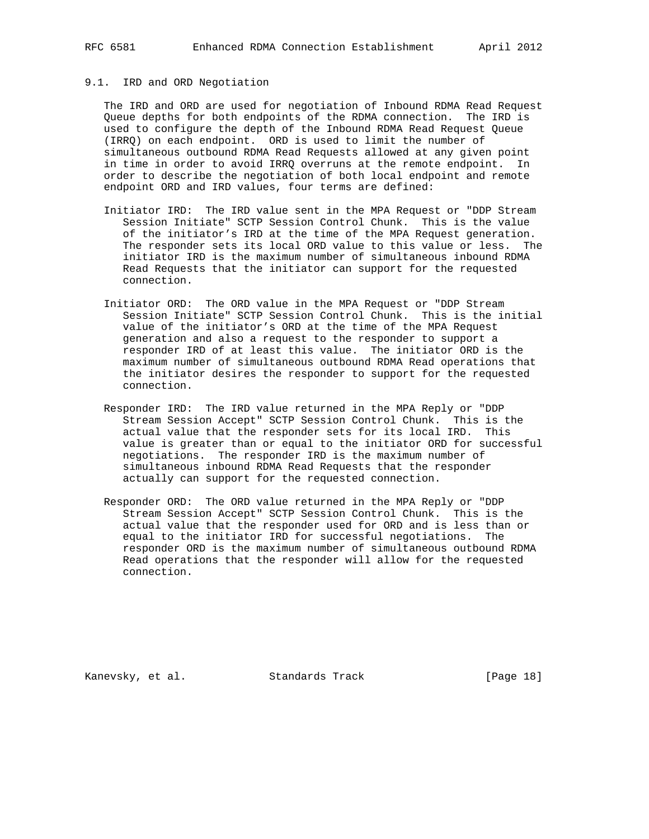## 9.1. IRD and ORD Negotiation

 The IRD and ORD are used for negotiation of Inbound RDMA Read Request Queue depths for both endpoints of the RDMA connection. The IRD is used to configure the depth of the Inbound RDMA Read Request Queue (IRRQ) on each endpoint. ORD is used to limit the number of simultaneous outbound RDMA Read Requests allowed at any given point in time in order to avoid IRRQ overruns at the remote endpoint. In order to describe the negotiation of both local endpoint and remote endpoint ORD and IRD values, four terms are defined:

- Initiator IRD: The IRD value sent in the MPA Request or "DDP Stream Session Initiate" SCTP Session Control Chunk. This is the value of the initiator's IRD at the time of the MPA Request generation. The responder sets its local ORD value to this value or less. The initiator IRD is the maximum number of simultaneous inbound RDMA Read Requests that the initiator can support for the requested connection.
- Initiator ORD: The ORD value in the MPA Request or "DDP Stream Session Initiate" SCTP Session Control Chunk. This is the initial value of the initiator's ORD at the time of the MPA Request generation and also a request to the responder to support a responder IRD of at least this value. The initiator ORD is the maximum number of simultaneous outbound RDMA Read operations that the initiator desires the responder to support for the requested connection.
- Responder IRD: The IRD value returned in the MPA Reply or "DDP Stream Session Accept" SCTP Session Control Chunk. This is the actual value that the responder sets for its local IRD. This value is greater than or equal to the initiator ORD for successful negotiations. The responder IRD is the maximum number of simultaneous inbound RDMA Read Requests that the responder actually can support for the requested connection.
- Responder ORD: The ORD value returned in the MPA Reply or "DDP Stream Session Accept" SCTP Session Control Chunk. This is the actual value that the responder used for ORD and is less than or equal to the initiator IRD for successful negotiations. The responder ORD is the maximum number of simultaneous outbound RDMA Read operations that the responder will allow for the requested connection.

Kanevsky, et al. Standards Track [Page 18]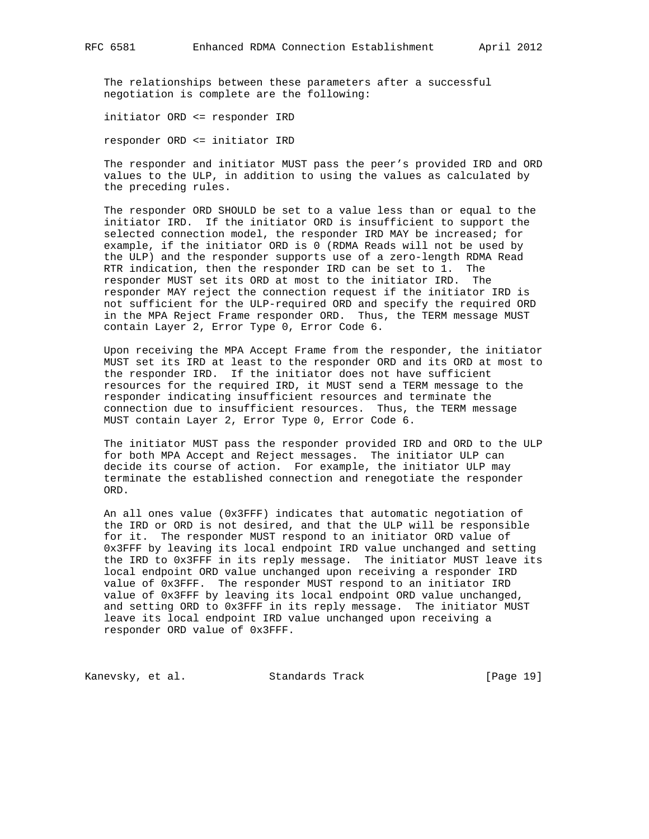The relationships between these parameters after a successful negotiation is complete are the following:

initiator ORD <= responder IRD

responder ORD <= initiator IRD

 The responder and initiator MUST pass the peer's provided IRD and ORD values to the ULP, in addition to using the values as calculated by the preceding rules.

 The responder ORD SHOULD be set to a value less than or equal to the initiator IRD. If the initiator ORD is insufficient to support the selected connection model, the responder IRD MAY be increased; for example, if the initiator ORD is 0 (RDMA Reads will not be used by the ULP) and the responder supports use of a zero-length RDMA Read RTR indication, then the responder IRD can be set to 1. The responder MUST set its ORD at most to the initiator IRD. The responder MAY reject the connection request if the initiator IRD is not sufficient for the ULP-required ORD and specify the required ORD in the MPA Reject Frame responder ORD. Thus, the TERM message MUST contain Layer 2, Error Type 0, Error Code 6.

 Upon receiving the MPA Accept Frame from the responder, the initiator MUST set its IRD at least to the responder ORD and its ORD at most to the responder IRD. If the initiator does not have sufficient resources for the required IRD, it MUST send a TERM message to the responder indicating insufficient resources and terminate the connection due to insufficient resources. Thus, the TERM message MUST contain Layer 2, Error Type 0, Error Code 6.

 The initiator MUST pass the responder provided IRD and ORD to the ULP for both MPA Accept and Reject messages. The initiator ULP can decide its course of action. For example, the initiator ULP may terminate the established connection and renegotiate the responder ORD.

 An all ones value (0x3FFF) indicates that automatic negotiation of the IRD or ORD is not desired, and that the ULP will be responsible for it. The responder MUST respond to an initiator ORD value of 0x3FFF by leaving its local endpoint IRD value unchanged and setting the IRD to 0x3FFF in its reply message. The initiator MUST leave its local endpoint ORD value unchanged upon receiving a responder IRD value of 0x3FFF. The responder MUST respond to an initiator IRD value of 0x3FFF by leaving its local endpoint ORD value unchanged, and setting ORD to 0x3FFF in its reply message. The initiator MUST leave its local endpoint IRD value unchanged upon receiving a responder ORD value of 0x3FFF.

Kanevsky, et al. Standards Track [Page 19]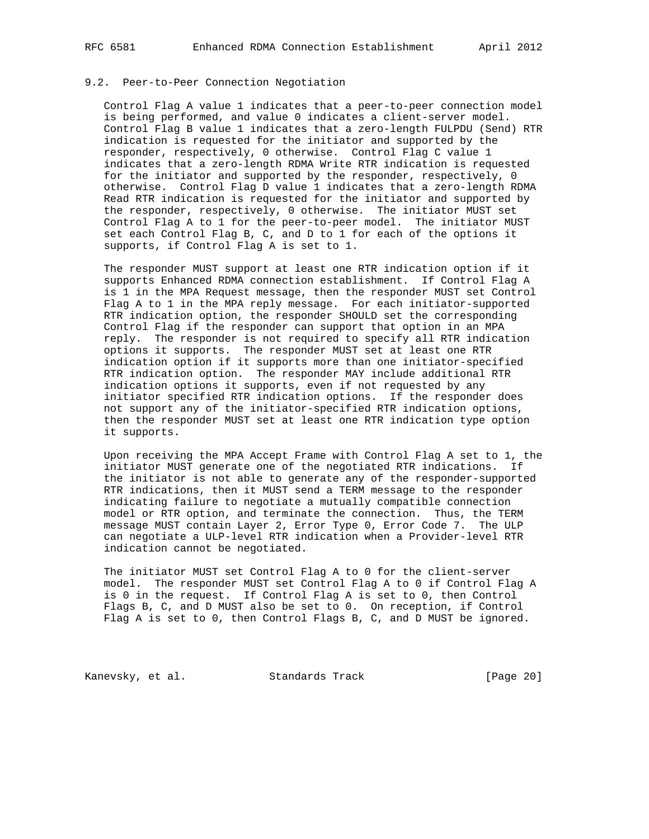#### 9.2. Peer-to-Peer Connection Negotiation

 Control Flag A value 1 indicates that a peer-to-peer connection model is being performed, and value 0 indicates a client-server model. Control Flag B value 1 indicates that a zero-length FULPDU (Send) RTR indication is requested for the initiator and supported by the responder, respectively, 0 otherwise. Control Flag C value 1 indicates that a zero-length RDMA Write RTR indication is requested for the initiator and supported by the responder, respectively, 0 otherwise. Control Flag D value 1 indicates that a zero-length RDMA Read RTR indication is requested for the initiator and supported by the responder, respectively, 0 otherwise. The initiator MUST set Control Flag A to 1 for the peer-to-peer model. The initiator MUST set each Control Flag B, C, and D to 1 for each of the options it supports, if Control Flag A is set to 1.

 The responder MUST support at least one RTR indication option if it supports Enhanced RDMA connection establishment. If Control Flag A is 1 in the MPA Request message, then the responder MUST set Control Flag A to 1 in the MPA reply message. For each initiator-supported RTR indication option, the responder SHOULD set the corresponding Control Flag if the responder can support that option in an MPA reply. The responder is not required to specify all RTR indication options it supports. The responder MUST set at least one RTR indication option if it supports more than one initiator-specified RTR indication option. The responder MAY include additional RTR indication options it supports, even if not requested by any initiator specified RTR indication options. If the responder does not support any of the initiator-specified RTR indication options, then the responder MUST set at least one RTR indication type option it supports.

 Upon receiving the MPA Accept Frame with Control Flag A set to 1, the initiator MUST generate one of the negotiated RTR indications. If the initiator is not able to generate any of the responder-supported RTR indications, then it MUST send a TERM message to the responder indicating failure to negotiate a mutually compatible connection model or RTR option, and terminate the connection. Thus, the TERM message MUST contain Layer 2, Error Type 0, Error Code 7. The ULP can negotiate a ULP-level RTR indication when a Provider-level RTR indication cannot be negotiated.

 The initiator MUST set Control Flag A to 0 for the client-server model. The responder MUST set Control Flag A to 0 if Control Flag A is 0 in the request. If Control Flag A is set to 0, then Control Flags B, C, and D MUST also be set to 0. On reception, if Control Flag A is set to 0, then Control Flags B, C, and D MUST be ignored.

Kanevsky, et al. Standards Track [Page 20]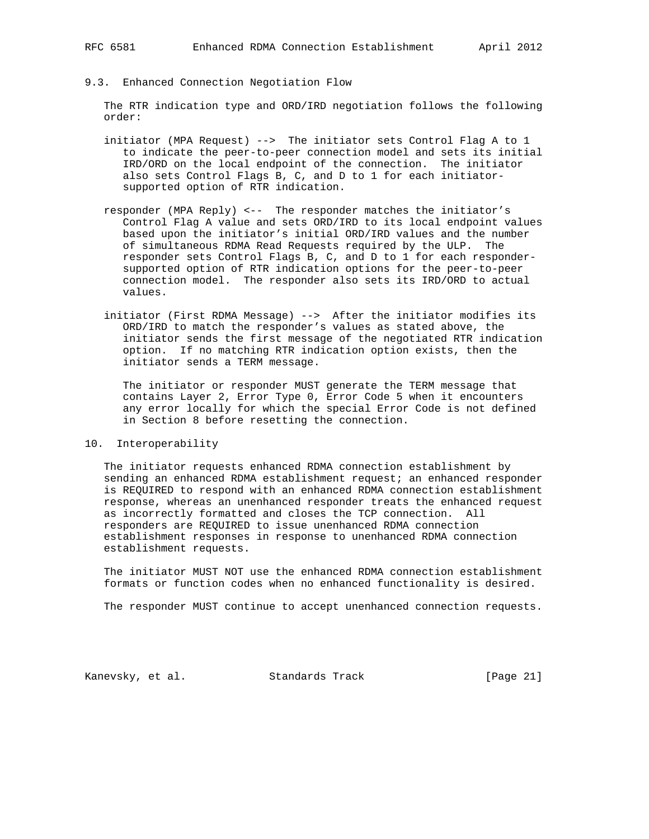9.3. Enhanced Connection Negotiation Flow

 The RTR indication type and ORD/IRD negotiation follows the following order:

- initiator (MPA Request) --> The initiator sets Control Flag A to 1 to indicate the peer-to-peer connection model and sets its initial IRD/ORD on the local endpoint of the connection. The initiator also sets Control Flags B, C, and D to 1 for each initiator supported option of RTR indication.
- responder (MPA Reply) <-- The responder matches the initiator's Control Flag A value and sets ORD/IRD to its local endpoint values based upon the initiator's initial ORD/IRD values and the number of simultaneous RDMA Read Requests required by the ULP. The responder sets Control Flags B, C, and D to 1 for each responder supported option of RTR indication options for the peer-to-peer connection model. The responder also sets its IRD/ORD to actual values.
- initiator (First RDMA Message) --> After the initiator modifies its ORD/IRD to match the responder's values as stated above, the initiator sends the first message of the negotiated RTR indication option. If no matching RTR indication option exists, then the initiator sends a TERM message.

 The initiator or responder MUST generate the TERM message that contains Layer 2, Error Type 0, Error Code 5 when it encounters any error locally for which the special Error Code is not defined in Section 8 before resetting the connection.

#### 10. Interoperability

 The initiator requests enhanced RDMA connection establishment by sending an enhanced RDMA establishment request; an enhanced responder is REQUIRED to respond with an enhanced RDMA connection establishment response, whereas an unenhanced responder treats the enhanced request as incorrectly formatted and closes the TCP connection. All responders are REQUIRED to issue unenhanced RDMA connection establishment responses in response to unenhanced RDMA connection establishment requests.

 The initiator MUST NOT use the enhanced RDMA connection establishment formats or function codes when no enhanced functionality is desired.

The responder MUST continue to accept unenhanced connection requests.

Kanevsky, et al. Standards Track [Page 21]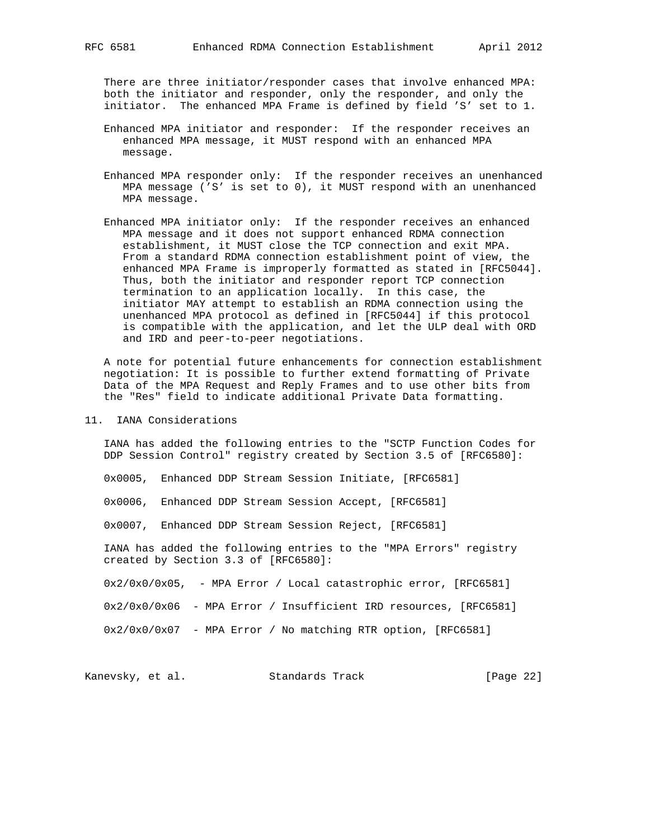There are three initiator/responder cases that involve enhanced MPA: both the initiator and responder, only the responder, and only the initiator. The enhanced MPA Frame is defined by field 'S' set to 1.

- Enhanced MPA initiator and responder: If the responder receives an enhanced MPA message, it MUST respond with an enhanced MPA message.
- Enhanced MPA responder only: If the responder receives an unenhanced MPA message ('S' is set to 0), it MUST respond with an unenhanced MPA message.
- Enhanced MPA initiator only: If the responder receives an enhanced MPA message and it does not support enhanced RDMA connection establishment, it MUST close the TCP connection and exit MPA. From a standard RDMA connection establishment point of view, the enhanced MPA Frame is improperly formatted as stated in [RFC5044]. Thus, both the initiator and responder report TCP connection termination to an application locally. In this case, the initiator MAY attempt to establish an RDMA connection using the unenhanced MPA protocol as defined in [RFC5044] if this protocol is compatible with the application, and let the ULP deal with ORD and IRD and peer-to-peer negotiations.

 A note for potential future enhancements for connection establishment negotiation: It is possible to further extend formatting of Private Data of the MPA Request and Reply Frames and to use other bits from the "Res" field to indicate additional Private Data formatting.

11. IANA Considerations

 IANA has added the following entries to the "SCTP Function Codes for DDP Session Control" registry created by Section 3.5 of [RFC6580]:

0x0005, Enhanced DDP Stream Session Initiate, [RFC6581]

0x0006, Enhanced DDP Stream Session Accept, [RFC6581]

0x0007, Enhanced DDP Stream Session Reject, [RFC6581]

 IANA has added the following entries to the "MPA Errors" registry created by Section 3.3 of [RFC6580]:

0x2/0x0/0x05, - MPA Error / Local catastrophic error, [RFC6581]

0x2/0x0/0x06 - MPA Error / Insufficient IRD resources, [RFC6581]

0x2/0x0/0x07 - MPA Error / No matching RTR option, [RFC6581]

Kanevsky, et al. Standards Track [Page 22]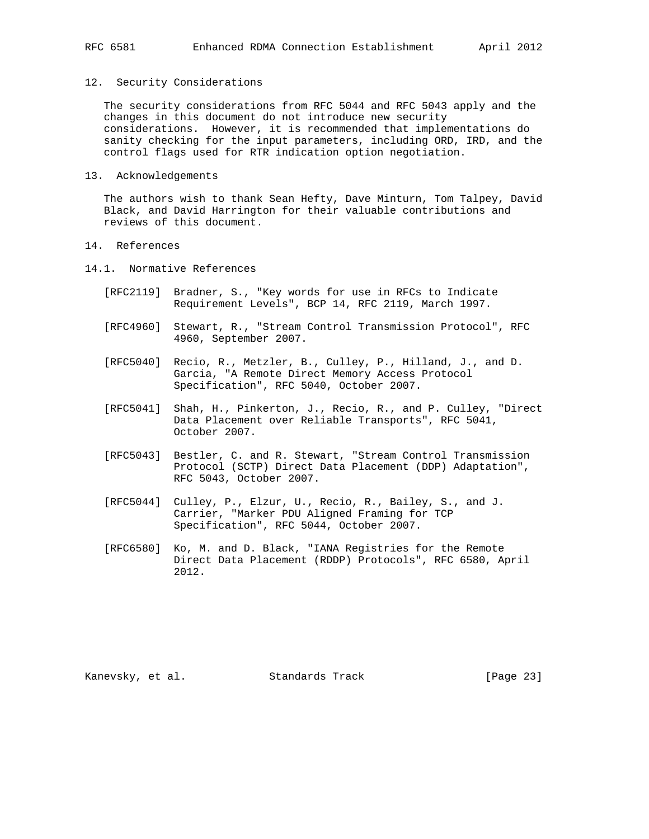#### 12. Security Considerations

 The security considerations from RFC 5044 and RFC 5043 apply and the changes in this document do not introduce new security considerations. However, it is recommended that implementations do sanity checking for the input parameters, including ORD, IRD, and the control flags used for RTR indication option negotiation.

13. Acknowledgements

 The authors wish to thank Sean Hefty, Dave Minturn, Tom Talpey, David Black, and David Harrington for their valuable contributions and reviews of this document.

- 14. References
- 14.1. Normative References
	- [RFC2119] Bradner, S., "Key words for use in RFCs to Indicate Requirement Levels", BCP 14, RFC 2119, March 1997.
	- [RFC4960] Stewart, R., "Stream Control Transmission Protocol", RFC 4960, September 2007.
	- [RFC5040] Recio, R., Metzler, B., Culley, P., Hilland, J., and D. Garcia, "A Remote Direct Memory Access Protocol Specification", RFC 5040, October 2007.
	- [RFC5041] Shah, H., Pinkerton, J., Recio, R., and P. Culley, "Direct Data Placement over Reliable Transports", RFC 5041, October 2007.
	- [RFC5043] Bestler, C. and R. Stewart, "Stream Control Transmission Protocol (SCTP) Direct Data Placement (DDP) Adaptation", RFC 5043, October 2007.
	- [RFC5044] Culley, P., Elzur, U., Recio, R., Bailey, S., and J. Carrier, "Marker PDU Aligned Framing for TCP Specification", RFC 5044, October 2007.
	- [RFC6580] Ko, M. and D. Black, "IANA Registries for the Remote Direct Data Placement (RDDP) Protocols", RFC 6580, April 2012.

Kanevsky, et al. Standards Track [Page 23]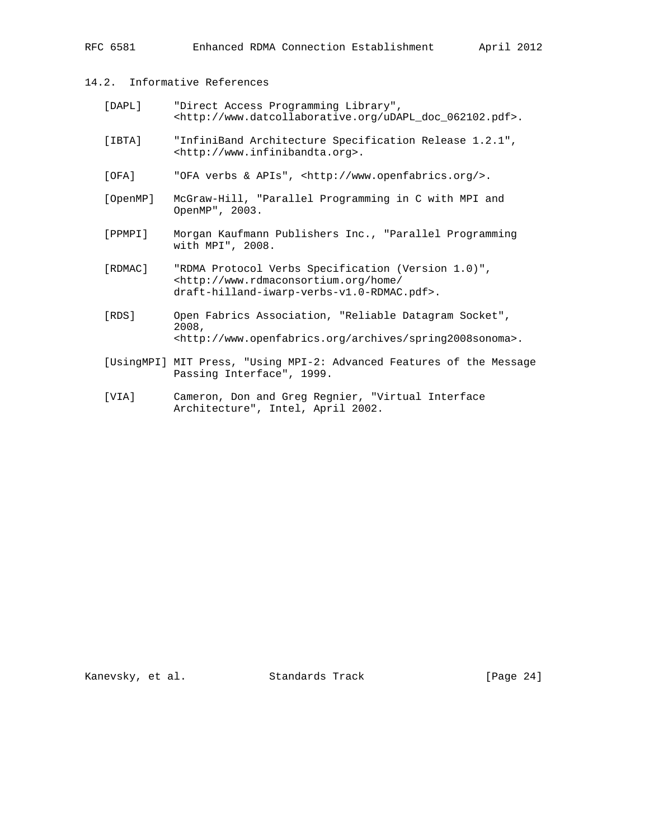# 14.2. Informative References

| DAPL] | "Direct Access Programming Library",                                       |
|-------|----------------------------------------------------------------------------|
|       | <http: 062102.pdf="" doc="" udapl="" www.datcollaborative.org="">.</http:> |

- [IBTA] "InfiniBand Architecture Specification Release 1.2.1", <http://www.infinibandta.org>.
- [OFA] "OFA verbs & APIs", <http://www.openfabrics.org/>.
- [OpenMP] McGraw-Hill, "Parallel Programming in C with MPI and OpenMP", 2003.
- [PPMPI] Morgan Kaufmann Publishers Inc., "Parallel Programming with MPI", 2008.
- [RDMAC] "RDMA Protocol Verbs Specification (Version 1.0)", <http://www.rdmaconsortium.org/home/ draft-hilland-iwarp-verbs-v1.0-RDMAC.pdf>.
- [RDS] Open Fabrics Association, "Reliable Datagram Socket", 2008, <http://www.openfabrics.org/archives/spring2008sonoma>.
- [UsingMPI] MIT Press, "Using MPI-2: Advanced Features of the Message Passing Interface", 1999.
- [VIA] Cameron, Don and Greg Regnier, "Virtual Interface Architecture", Intel, April 2002.

Kanevsky, et al. Standards Track [Page 24]